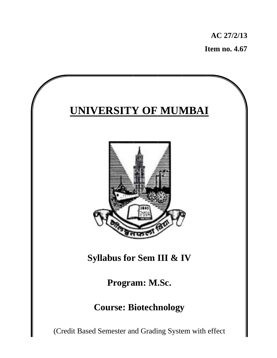**I Item no. . 4.67 AC 27 7/2/13** 

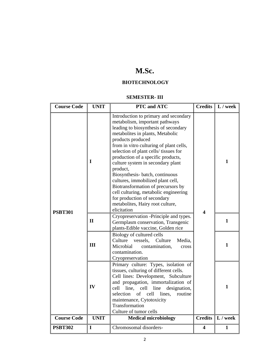# **M.Sc.**

## **BIOTECHNOLOGY**

#### **SEMESTER- III**

| <b>Course Code</b> | <b>UNIT</b> | PTC and ATC                                                                                                                                                                                                                                                                                                                                                                                                                                                                                                                                                                                  | <b>Credits</b>          | $L /$ week   |
|--------------------|-------------|----------------------------------------------------------------------------------------------------------------------------------------------------------------------------------------------------------------------------------------------------------------------------------------------------------------------------------------------------------------------------------------------------------------------------------------------------------------------------------------------------------------------------------------------------------------------------------------------|-------------------------|--------------|
| <b>PSBT301</b>     | I           | Introduction to primary and secondary<br>metabolism, important pathways<br>leading to biosynthesis of secondary<br>metabolites in plants, Metabolic<br>products produced<br>from in vitro culturing of plant cells,<br>selection of plant cells/ tissues for<br>production of a specific products,<br>culture system in secondary plant<br>product,<br>Biosynthesis- batch, continuous<br>cultures, immobilized plant cell,<br>Biotransformation of precursors by<br>cell culturing, metabolic engineering<br>for production of secondary<br>metabolites, Hairy root culture,<br>elicitation | 4                       | $\mathbf{1}$ |
| $\mathbf{I}$       |             | Cryopreservation -Principle and types.<br>Germplasm conservation, Transgenic<br>plants-Edible vaccine, Golden rice                                                                                                                                                                                                                                                                                                                                                                                                                                                                           |                         | $\mathbf{1}$ |
|                    | III         | Biology of cultured cells<br>Culture<br>Culture<br>vessels,<br>Media,<br>Microbial<br>contamination,<br>cross<br>contamination.<br>Cryopreservation                                                                                                                                                                                                                                                                                                                                                                                                                                          |                         | $\mathbf{1}$ |
|                    | IV          | Primary culture: Types, isolation of<br>tissues, culturing of different cells.<br>Cell lines: Development, Subculture<br>and propagation, immortalization of<br>cell<br>line,<br>cell<br>line<br>designation,<br>of cell<br>lines,<br>selection<br>routine<br>maintenance, Cytotoxicity<br>Transformation<br>Culture of tumor cells                                                                                                                                                                                                                                                          |                         | $\mathbf{1}$ |
| <b>Course Code</b> | <b>UNIT</b> | <b>Medical microbiology</b>                                                                                                                                                                                                                                                                                                                                                                                                                                                                                                                                                                  | <b>Credits</b>          | $L /$ week   |
| <b>PSBT302</b>     | $\mathbf I$ | Chromosomal disorders-                                                                                                                                                                                                                                                                                                                                                                                                                                                                                                                                                                       | $\overline{\mathbf{4}}$ | $\mathbf{1}$ |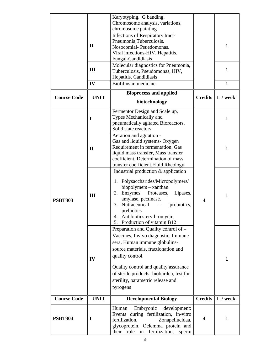|                                                                                 |              | Karyotyping, G banding,<br>Chromosome analysis, variations,                                                                                                                                                                                                                                                   |                |              |
|---------------------------------------------------------------------------------|--------------|---------------------------------------------------------------------------------------------------------------------------------------------------------------------------------------------------------------------------------------------------------------------------------------------------------------|----------------|--------------|
| $\mathbf{I}$                                                                    |              | chromosome painting<br>Infections of Respiratory tract-<br>Pneumonia, Tuberculosis.<br>Nosocomial-Psuedomonas.<br>Viral infections-HIV, Hepatitis.<br>Fungal-Candidiasis                                                                                                                                      |                | 1            |
|                                                                                 | III          | Molecular diagnostics for Pneumonia,<br>Tuberculosis, Pseudomonas, HIV,<br>Hepatitis. Candidiasis                                                                                                                                                                                                             |                | 1            |
|                                                                                 | IV           | Biofilms in medicine                                                                                                                                                                                                                                                                                          |                | $\mathbf{1}$ |
| <b>Course Code</b>                                                              | <b>UNIT</b>  | <b>Bioprocess and applied</b><br>biotechnology                                                                                                                                                                                                                                                                | <b>Credits</b> | L / week     |
|                                                                                 | I            | Fermentor Design and Scale up,<br>Types Mechanically and<br>pneumatically agitated Bioreactors,<br>Solid state reactors                                                                                                                                                                                       |                | $\mathbf{1}$ |
| <b>PSBT303</b>                                                                  | $\mathbf{I}$ | Aeration and agitation -<br>Gas and liquid systems- Oxygen<br>Requirement in fermentation, Gas<br>liquid mass transfer, Mass transfer<br>coefficient, Determination of mass<br>transfer coefficient, Fluid Rheology,                                                                                          |                | 1            |
|                                                                                 | III          | Industrial production & application<br>1. Polysaccharides/Micropolymers/<br>biopolymers - xanthan<br>2. Enzymes:<br>Proteases,<br>Lipases,<br>amylase, pectinase.<br>3. Nutraceutical<br>probiotics,<br>$\equiv$<br>prebiotics<br>4. Antibiotics-erythromycin<br>5. Production of vitamin B12                 | 4              | 1            |
|                                                                                 | IV           | Preparation and Quality control of -<br>Vaccines, Invivo diagnostic, Immune<br>sera, Human immune globulins-<br>source materials, fractionation and<br>quality control.<br>Quality control and quality assurance<br>of sterile products- bioburden, test for<br>sterility, parametric release and<br>pyrogens |                | 1            |
| <b>Course Code</b>                                                              | <b>UNIT</b>  | <b>Developmental Biology</b>                                                                                                                                                                                                                                                                                  | <b>Credits</b> | L / week     |
| Embryonic<br>Human<br><b>PSBT304</b><br>I<br>fertilization,<br>their role<br>in |              | development:<br>Events during fertilization, in-vitro<br>Zonapellucidaa,<br>glycoprotein, Oelemma protein and<br>fertilization,<br>sperm                                                                                                                                                                      | 4              | 1            |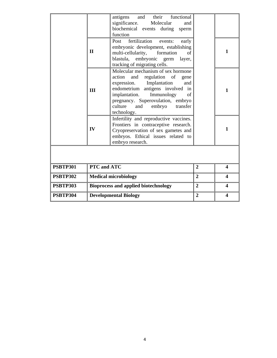|                 |                              | and their functional<br>antigens<br>significance.<br>Molecular<br>and<br>biochemical events during<br>sperm<br>function                                                                                                                                                           |                |                         |
|-----------------|------------------------------|-----------------------------------------------------------------------------------------------------------------------------------------------------------------------------------------------------------------------------------------------------------------------------------|----------------|-------------------------|
|                 | $\mathbf H$                  | fertilization<br>Post<br>events:<br>early<br>embryonic development, establishing<br>multi-cellularity,<br>formation<br>of<br>blastula,<br>embryonic<br>layer,<br>germ<br>tracking of migrating cells.                                                                             |                | 1                       |
|                 | III                          | Molecular mechanism of sex hormone<br>and regulation of<br>action<br>gene<br>expression. Implantation<br>and<br>endometrium antigens involved in<br>implantation.<br>Immunology<br>of<br>pregnancy. Superovulation, embryo<br>culture<br>embryo<br>transfer<br>and<br>technology. |                | 1                       |
|                 | IV                           | Infertility and reproductive vaccines.<br>Frontiers in contraceptive research.<br>Cryopreservation of sex gametes and<br>embryos. Ethical issues related to<br>embryo research.                                                                                                   |                | 1                       |
|                 |                              |                                                                                                                                                                                                                                                                                   |                |                         |
| <b>PSBTP301</b> | PTC and ATC                  |                                                                                                                                                                                                                                                                                   | $\overline{2}$ | $\overline{\mathbf{4}}$ |
| <b>PSBTP302</b> | <b>Medical microbiology</b>  |                                                                                                                                                                                                                                                                                   | $\overline{2}$ | $\boldsymbol{4}$        |
| <b>PSBTP303</b> |                              | <b>Bioprocess and applied biotechnology</b>                                                                                                                                                                                                                                       | $\overline{2}$ | $\boldsymbol{4}$        |
| <b>PSBTP304</b> | <b>Developmental Biology</b> |                                                                                                                                                                                                                                                                                   | $\overline{2}$ | $\boldsymbol{4}$        |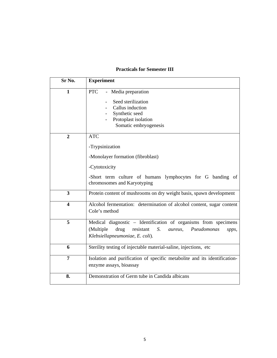## **Practicals for Semester III**

| Sr No.                  | <b>Experiment</b>                                                                                                                                                                |
|-------------------------|----------------------------------------------------------------------------------------------------------------------------------------------------------------------------------|
| 1                       | <b>PTC</b><br>- Media preparation<br>Seed sterilization<br>Callus induction<br>Synthetic seed<br>Protoplast isolation<br>Somatic embryogenesis                                   |
| $\overline{2}$          | <b>ATC</b><br>-Trypsinization<br>-Monolayer formation (fibroblast)<br>-Cytotoxicity<br>-Short term culture of humans lymphocytes for G banding of<br>chromosomes and Karyotyping |
| 3                       | Protein content of mushrooms on dry weight basis, spawn development                                                                                                              |
| $\overline{\mathbf{4}}$ | Alcohol fermentation: determination of alcohol content, sugar content<br>Cole's method                                                                                           |
| 5                       | Medical diagnostic - Identification of organisms from specimens<br>(Multiple<br>resistant<br>S.<br>drug<br>Pseudomonas<br>aureus,<br>spps,<br>Klebsiellapneumoniae, E. coli).    |
| 6                       | Sterility testing of injectable material-saline, injections, etc.                                                                                                                |
| $\overline{7}$          | Isolation and purification of specific metabolite and its identification-<br>enzyme assays, bioassay                                                                             |
| 8.                      | Demonstration of Germ tube in Candida albicans                                                                                                                                   |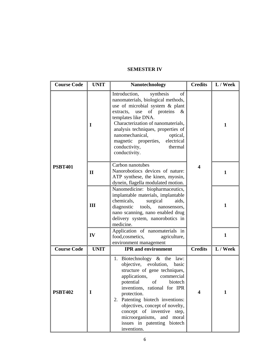### **SEMESTER IV**

| <b>Course Code</b>  | <b>UNIT</b>  | <b>Nanotechnology</b>                                                                                                                                                                                                                                                                                                                                                                   | <b>Credits</b> | L / Week     |
|---------------------|--------------|-----------------------------------------------------------------------------------------------------------------------------------------------------------------------------------------------------------------------------------------------------------------------------------------------------------------------------------------------------------------------------------------|----------------|--------------|
|                     | I            | Introduction,<br>synthesis<br>οf<br>nanomaterials, biological methods,<br>use of microbial system & plant<br>extracts, use of proteins<br>&<br>templates like DNA.<br>Characterization of nanomaterials,<br>analysis techniques, properties of<br>nanomechanical,<br>optical,<br>magnetic properties,<br>electrical<br>conductivity,<br>thermal<br>conductivity.                        |                | $\mathbf{1}$ |
| <b>PSBT401</b>      | $\mathbf{H}$ | Carbon nanotubes<br>Nanorobotiocs devices of nature:<br>ATP synthese, the kinen, myosin,<br>dynein, flagella modulated motion.                                                                                                                                                                                                                                                          | 4              | $\mathbf{1}$ |
|                     | III          | Nanomedicine: biopharmaceutics,<br>implantable materials, implantable<br>chemicals,<br>surgical<br>aids,<br>tools, nanosensors,<br>diagnostic<br>nano scanning, nano enabled drug<br>delivery system, nanorobotics in<br>medicine.                                                                                                                                                      |                | 1            |
| IV                  |              | Application of nanomaterials in<br>food, cosmetics,<br>agriculture,<br>environment management                                                                                                                                                                                                                                                                                           |                | 1            |
| <b>Course Code</b>  | <b>UNIT</b>  | <b>IPR</b> and environment                                                                                                                                                                                                                                                                                                                                                              | <b>Credits</b> | L / Week     |
| <b>PSBT402</b><br>I |              | 1. Biotechnology $\&$ the law:<br>objective, evolution,<br>basic<br>structure of gene techniques,<br>applications,<br>commercial<br>potential of biotech<br>inventions, rational for IPR<br>protection.<br>2. Patenting biotech inventions:<br>objectives, concept of novelty,<br>concept of inventive step,<br>microorganisms, and moral<br>issues in patenting biotech<br>inventions. | 4              | 1            |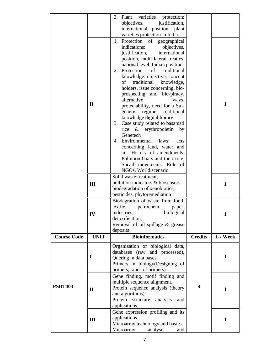|                                  |                                                | varieties<br>protection:<br>3. Plant                           |                  |              |
|----------------------------------|------------------------------------------------|----------------------------------------------------------------|------------------|--------------|
|                                  |                                                | objectives,<br>justification,                                  |                  |              |
|                                  |                                                | international position, plant                                  |                  |              |
|                                  |                                                | varieties protection in India.                                 |                  |              |
|                                  |                                                | 1. Protection<br>of<br>geographical<br>indications:            |                  |              |
|                                  |                                                | objectives,<br>international<br>justification,                 |                  |              |
|                                  |                                                | position, multi lateral treaties,                              |                  |              |
|                                  |                                                | national level, Indian position                                |                  |              |
|                                  |                                                | 2. Protection<br>of<br>traditional                             |                  |              |
|                                  |                                                | knowledge: objective, concept                                  |                  |              |
|                                  |                                                | traditional<br>knowledge,<br>of                                |                  |              |
|                                  |                                                | holders, issue concerning, bio-                                |                  |              |
|                                  |                                                | prospecting and bio-piracy,                                    |                  |              |
|                                  | $\mathbf{I}$                                   | alternative<br>ways,                                           |                  | $\mathbf{1}$ |
|                                  |                                                | protectability, need for a Sui-                                |                  |              |
|                                  |                                                | regime,<br>traditional<br>generis<br>knowledge digital library |                  |              |
|                                  |                                                | 3. Case study related to basamati                              |                  |              |
|                                  |                                                | rice & erythropoietin<br>by                                    |                  |              |
|                                  |                                                | Genetech                                                       |                  |              |
|                                  |                                                | 4. Environmental<br>laws:<br>acts                              |                  |              |
|                                  |                                                | concerning land, water and                                     |                  |              |
|                                  |                                                | air. History of amendments.                                    |                  |              |
|                                  |                                                | Pollution boars and their role,                                |                  |              |
|                                  |                                                | Socail movements. Role of                                      |                  |              |
|                                  | NGOs. World scenario<br>Solid waste treatment, |                                                                |                  |              |
|                                  |                                                | pollution indicators & biosensors                              |                  |              |
| III                              |                                                | biodegradation of xenobiotics,                                 |                  | 1            |
|                                  | pesticides, phytoremediation                   |                                                                |                  |              |
| Biodegration of waste from food, |                                                |                                                                |                  |              |
|                                  |                                                | textile,<br>petrochem,<br>paper,                               |                  |              |
|                                  | IV                                             | biological<br>industries,                                      |                  |              |
|                                  |                                                | detoxification,                                                |                  |              |
|                                  |                                                | Removal of oil spillage & grease                               |                  |              |
| <b>Course Code</b>               | <b>UNIT</b>                                    | deposits<br><b>Bioinformatics</b>                              | <b>Credits</b>   | L / Week     |
|                                  |                                                |                                                                |                  |              |
|                                  |                                                | Organization of biological data,                               |                  |              |
|                                  | $\bf{I}$                                       | databases (raw and processed),<br>Quering in data bases.       |                  | 1            |
|                                  |                                                | Primers in biology(Designing of                                |                  |              |
|                                  |                                                | primers, kinds of primers)                                     |                  |              |
|                                  |                                                | Gene finding, motif finding and                                |                  |              |
|                                  |                                                | multiple sequence alignment.                                   |                  |              |
| <b>PSBT403</b>                   | $\mathbf{I}$                                   | Protein sequence analysis (theory                              | $\boldsymbol{4}$ | 1            |
|                                  |                                                | and algorithms)                                                |                  |              |
|                                  |                                                | Protein<br>structure<br>analysis<br>and<br>applications.       |                  |              |
|                                  |                                                | Gene expression profiling and its                              |                  |              |
|                                  | III                                            | applications.                                                  |                  | 1            |
|                                  |                                                |                                                                |                  |              |
|                                  |                                                | Microarray technology and basics.                              |                  |              |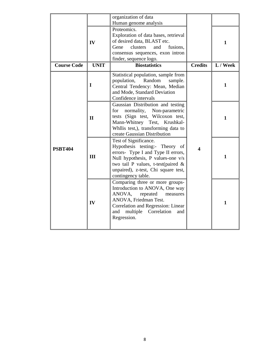|                    |                                                                                                                                                                                               | organization of data<br>Human genome analysis                                                                                                                                                                                            |                |              |
|--------------------|-----------------------------------------------------------------------------------------------------------------------------------------------------------------------------------------------|------------------------------------------------------------------------------------------------------------------------------------------------------------------------------------------------------------------------------------------|----------------|--------------|
|                    | Proteomics.<br>Exploration of data bases, retrieval<br>of desired data, BLAST etc.<br>IV<br>Gene<br>and<br>fusions,<br>clusters<br>consensus sequences, exon intron<br>finder, sequence logo. |                                                                                                                                                                                                                                          |                | 1            |
| <b>Course Code</b> | <b>UNIT</b>                                                                                                                                                                                   | <b>Biostatistics</b>                                                                                                                                                                                                                     | <b>Credits</b> | L / Week     |
|                    | I                                                                                                                                                                                             | Statistical population, sample from<br>population,<br>Random<br>sample.<br>Central Tendency: Mean, Median<br>and Mode, Standard Deviation<br>Confidence intervals                                                                        |                | $\mathbf{1}$ |
|                    | $\mathbf{I}$                                                                                                                                                                                  | Gaussian Distribution and testing<br>normality, Non-parametric<br>for<br>tests (Sign test, Wilcoxon test,<br>Mann-Whitney Test, Krushkal-<br>Whllis test,), transforming data to<br>create Gaussian Distribution                         |                | 1            |
| <b>PSBT404</b>     | III                                                                                                                                                                                           | Test of Significance.<br>Hypothesis testing:- Theory of<br>errors- Type I and Type II errors,<br>Null hypothesis, P values-one v/s<br>two tail P values, t-test(paired $\&$<br>unpaired), z-test, Chi square test,<br>contingency table. | 4              | $\mathbf{1}$ |
|                    | IV                                                                                                                                                                                            | Comparing three or more groups-<br>Introduction to ANOVA, One way<br>ANOVA,<br>repeated<br>measures<br>ANOVA, Friedman Test.<br>Correlation and Regression: Linear<br>and multiple Correlation<br>and<br>Regression.                     |                | $\mathbf{1}$ |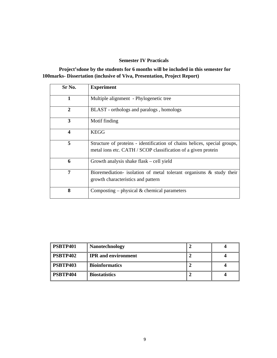#### **Semester IV Practicals**

 **Project'sdone by the students for 6 months will be included in this semester for 100marks- Dissertation (inclusive of Viva, Presentation, Project Report)** 

| Sr No.         | <b>Experiment</b>                                                                                                                          |
|----------------|--------------------------------------------------------------------------------------------------------------------------------------------|
| 1              | Multiple alignment - Phylogenetic tree                                                                                                     |
| $\overline{2}$ | BLAST - orthologs and paralogs, homologs                                                                                                   |
| 3              | Motif finding                                                                                                                              |
| 4              | <b>KEGG</b>                                                                                                                                |
| 5              | Structure of proteins - identification of chains helices, special groups,<br>metal ions etc. CATH / SCOP classification of a given protein |
| 6              | Growth analysis shake flask – cell yield                                                                                                   |
| 7              | Bioremediation- isolation of metal tolerant organisms $\&$ study their<br>growth characteristics and pattern                               |
| 8              | Composting – physical $\&$ chemical parameters                                                                                             |

| PSBTP401        | <b>Nanotechnology</b>      |  |
|-----------------|----------------------------|--|
| PSBTP402        | <b>IPR</b> and environment |  |
| <b>PSBTP403</b> | <b>Bioinformatics</b>      |  |
| PSBTP404        | <b>Biostatistics</b>       |  |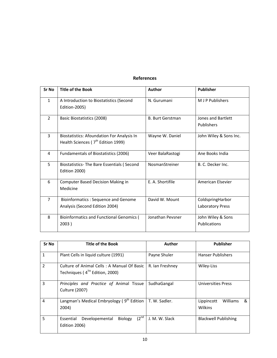#### **References**

| Sr No          | <b>Title of the Book</b>                                                                   | Author                  | <b>Publisher</b>                     |
|----------------|--------------------------------------------------------------------------------------------|-------------------------|--------------------------------------|
| $\mathbf{1}$   | A Introduction to Biostatistics (Second<br>Edition-2005)                                   | N. Gurumani             | M J P Publishers                     |
| $\overline{2}$ | Basic Biostatistics (2008)                                                                 | <b>B. Burt Gerstman</b> | Jones and Bartlett<br>Publishers     |
| 3              | <b>Biostatistics: Afoundation For Analysis In</b><br>Health Sciences ( $7th$ Edition 1999) | Wayne W. Daniel         | John Wiley & Sons Inc.               |
| 4              | Fundamentals of Biostatistics (2006)                                                       | Veer BalaRastogi        | Ane Books India                      |
| 5              | Biostatistics-The Bare Essentials (Second<br>Edition 2000)                                 | NosmanStreiner          | B. C. Decker Inc.                    |
| 6              | <b>Computer Based Decision Making in</b><br>Medicine                                       | E. A. Shortifile        | American Elsevier                    |
| $\overline{7}$ | Bioinformatics: Sequence and Genome<br>Analysis (Second Edition 2004)                      | David W. Mount          | ColdspringHarbor<br>Laboratory Press |
| 8              | <b>Bioinformatics and Functional Genomics (</b><br>2003)                                   | Jonathan Peysner        | John Wiley & Sons<br>Publications    |

| Sr No          | <b>Title of the Book</b>                                                                 | Author          | <b>Publisher</b>                              |  |
|----------------|------------------------------------------------------------------------------------------|-----------------|-----------------------------------------------|--|
| $\mathbf{1}$   | Plant Cells in liquid culture (1991)                                                     | Payne Shuler    | <b>Hanser Publishers</b>                      |  |
| $\overline{2}$ | Culture of Animal Cells: A Manual Of Basic<br>Techniques (4 <sup>TH</sup> Edition, 2000) | R. Ian Freshney | Wiley-Liss                                    |  |
| 3              | Principles and Practice of Animal Tissue<br>Culture (2007)                               | SudhaGangal     | <b>Universities Press</b>                     |  |
| 4              | Langman's Medical Embryology ( $9th$ Edition   T. W. Sadler.<br>2004)                    |                 | Williams<br>Lippincott<br>&<br><b>Wilkins</b> |  |
| 5              | $(2^{nd}$<br>Developemental<br><b>Biology</b><br>Essential<br>Edition 2006)              | J. M. W. Slack  | <b>Blackwell Publishing</b>                   |  |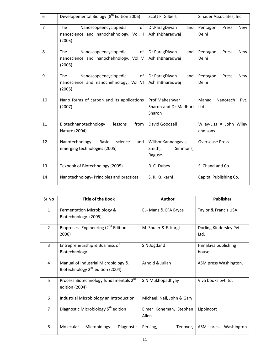| 6              | Developemental Biology (8 <sup>th</sup> Edition 2006)                                         | Scott F. Gilbert                                   | Sinauer Associates, Inc.                 |
|----------------|-----------------------------------------------------------------------------------------------|----------------------------------------------------|------------------------------------------|
| $\overline{7}$ | <b>The</b><br>Nanoscopeencyclopedia<br>of<br>nanoscience and nanochehnology, Vol. I<br>(2005) | Dr.ParagDiwan<br>and<br>AshishBharadwaj            | Pentagon<br>Press<br><b>New</b><br>Delhi |
| 8              | of<br><b>The</b><br>Nanoscopeencyclopedia<br>nanoscience and nanochehnology, Vol V<br>(2005)  | Dr.ParagDiwan<br>and<br>AshishBharadwaj            | Pentagon<br>Press<br><b>New</b><br>Delhi |
| 9              | Nanoscopeencyclopedia<br>of<br><b>The</b><br>nanoscience and nanochehnology, Vol VI<br>(2005) | Dr.ParagDiwan<br>and<br>AshishBharadwaj            | Pentagon<br>Press<br><b>New</b><br>Delhi |
| 10             | Nano forms of carbon and its applications<br>(2007)                                           | Prof.Maheshwar<br>Sharon and Dr.Madhuri<br>Sharon  | Manad<br>Nanotech<br>Pvt.<br>Ltd.        |
| 11             | from<br>Biotechnanotechnology<br>lessons<br>Nature (2004)                                     | David Goodsell                                     | Wiley-Liss A John Wiley<br>and sons      |
| 12             | Nanotechnology-<br><b>Basic</b><br>science<br>and<br>emerging technologies (2005)             | WillsonKannangava,<br>Smith,<br>Simmons,<br>Raguse | <b>Oversease Press</b>                   |
| 13             | Texbook of Biotechnology (2005)                                                               | R. C. Dubey                                        | S. Chand and Co.                         |
| 14             | Nanotechnology- Principles and practices                                                      | S. K. Kulkarni                                     | Capital Publishing Co.                   |

| Sr No          | <b>Title of the Book</b>                                                             | Author                          | <b>Publisher</b>                |
|----------------|--------------------------------------------------------------------------------------|---------------------------------|---------------------------------|
| $\mathbf{1}$   | Fermentation Microbiology &<br>Biotechnology. (2005)                                 | EL- Mansi& CFA Bryce            | Taylor & Francis USA.           |
| $\overline{2}$ | Bioprocess Engineering (2 <sup>nd</sup> Edition<br>2006)                             | M. Shuler & F. Kargi            | Dorling Kindersley Pvt.<br>Ltd. |
| 3              | Entrepreneurship & Business of<br>Biotechnology                                      | S N Jogdand                     | Himalaya publishing<br>house    |
| 4              | Manual of Industrial Microbiology &<br>Biotechnology 2 <sup>nd</sup> edition (2004). | Arnold & Julian                 | ASM press Washington.           |
| 5              | Process Biotechnology fundamentals 2 <sup>nd</sup><br>edition (2004)                 | S N Mukhopadhyay                | Viva books pvt ltd.             |
| 6              | Industrial Microbiology an Introduction                                              | Michael, Neil, John & Gary      |                                 |
| $\overline{7}$ | Diagnostic Microbiology 5 <sup>th</sup> edition                                      | Elmer Koneman, Stephen<br>Allen | Lippincott                      |
| 8              | Molecular<br>Microbiology:<br>Diagnostic                                             | Persing,<br>Tenover,            | ASM press Washington            |